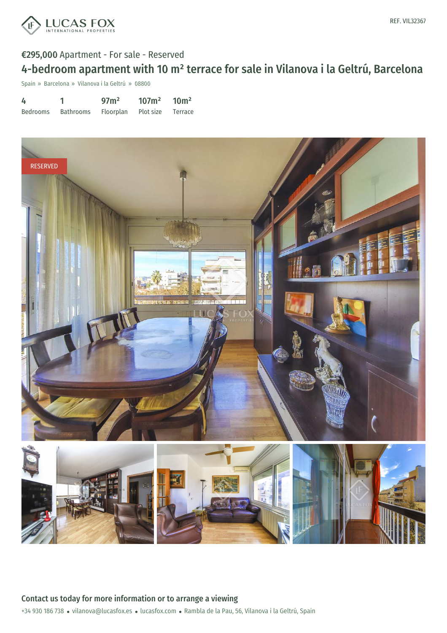

### €295,000 Apartment - For sale - Reserved

# 4-bedroom apartment with 10 m² terrace for sale in Vilanova i la Geltrú, Barcelona

Spain » Barcelona » Vilanova i la Geltrú » 08800

| 4        |                                       | 97 <sub>m²</sub> | 107m <sup>2</sup> | 10 <sup>m²</sup> |
|----------|---------------------------------------|------------------|-------------------|------------------|
| Bedrooms | Bathrooms Floorplan Plot size Terrace |                  |                   |                  |

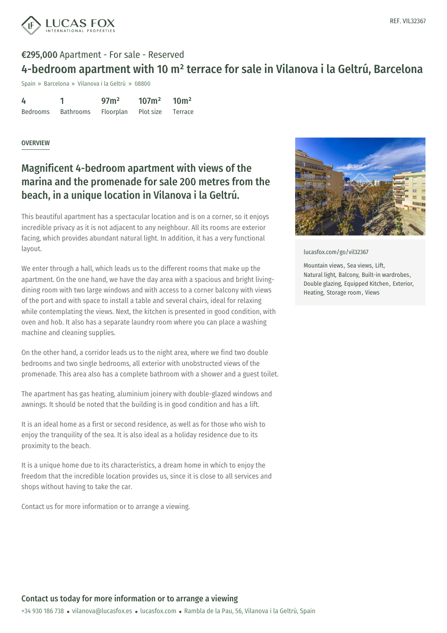

## €295,000 Apartment - For sale - Reserved 4-bedroom apartment with 10 m² terrace for sale in Vilanova i la Geltrú, Barcelona

Spain » Barcelona » Vilanova i la Geltrú » 08800

| 4        |           | 97 <sup>2</sup>             | $107m^2$ $10m^2$ |  |
|----------|-----------|-----------------------------|------------------|--|
| Bedrooms | Bathrooms | Floorplan Plot size Terrace |                  |  |

#### OVERVIEW

## Magnificent 4-bedroom apartment with views of the marina and the promenade for sale 200 metres from the beach, in a unique location in Vilanova i la Geltrú.

This beautiful apartment has a spectacular location and is on a corner, so it enjoys incredible privacy as it is not adjacent to any neighbour. All its rooms are exterior facing, which provides abundant natural light. In addition, it has a very functional layout.

We enter through a hall, which leads us to the different rooms that make up the apartment. On the one hand, we have the day area with a spacious and bright livingdining room with two large windows and with access to a corner balcony with views of the port and with space to install a table and several chairs, ideal for relaxing while contemplating the views. Next, the kitchen is presented in good condition, with oven and hob. It also has a separate laundry room where you can place a washing machine and cleaning supplies.

On the other hand, a corridor leads us to the night area, where we find two double bedrooms and two single bedrooms, all exterior with unobstructed views of the promenade. This area also has a complete bathroom with a shower and a guest toilet.

The apartment has gas heating, aluminium joinery with double-glazed windows and awnings. It should be noted that the building is in good condition and has a lift.

It is an ideal home as a first or second residence, as well as for those who wish to enjoy the tranquility of the sea. It is also ideal as a holiday residence due to its proximity to the beach.

It is a unique home due to its characteristics, a dream home in which to enjoy the freedom that the [incredible](mailto:vilanova@lucasfox.es) location pr[ovides](https://www.lucasfox.com) us, since it is close to all services and shops without having to take the car.

Contact us for more information or to arrange a viewing.



[lucasfox.com/go/vil32367](https://www.lucasfox.com/go/vil32367)

Mountain views, Sea views, Lift, Natural light, Balcony, Built-in wardrobes, Double glazing, Equipped Kitchen, Exterior, Heating, Storage room, Views